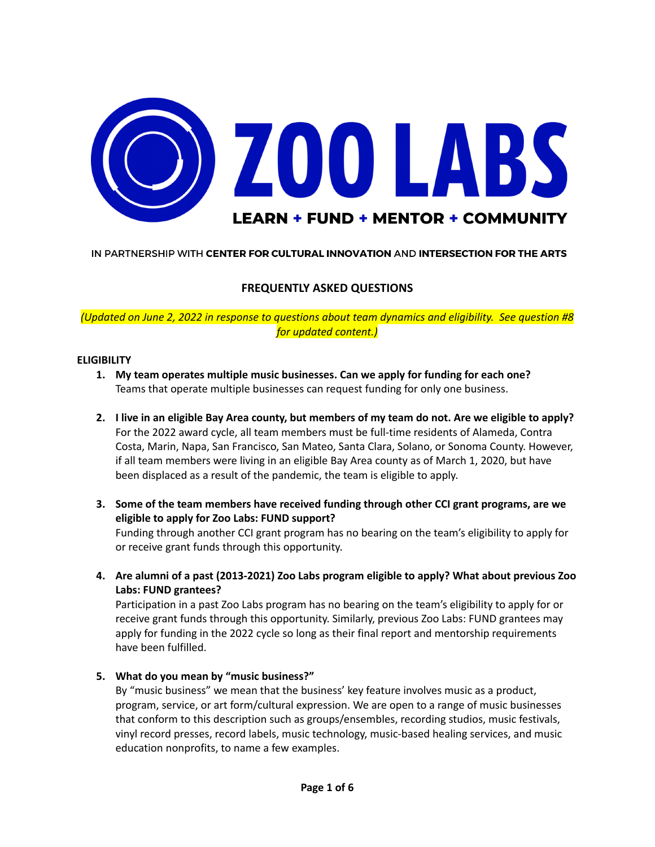

#### IN PARTNERSHIP WITH CENTER FOR CULTURAL INNOVATION AND INTERSECTION FOR THE ARTS

## **FREQUENTLY ASKED QUESTIONS**

*(Updated on June 2, 2022 in response to questions about team dynamics and eligibility. See question #8 for updated content.)*

#### **ELIGIBILITY**

- **1. My team operates multiple music businesses. Can we apply for funding for each one?** Teams that operate multiple businesses can request funding for only one business.
- 2. I live in an eligible Bay Area county, but members of my team do not. Are we eligible to apply? For the 2022 award cycle, all team members must be full-time residents of Alameda, Contra Costa, Marin, Napa, San Francisco, San Mateo, Santa Clara, Solano, or Sonoma County. However, if all team members were living in an eligible Bay Area county as of March 1, 2020, but have been displaced as a result of the pandemic, the team is eligible to apply.
- **3. Some of the team members have received funding through other CCI grant programs, are we eligible to apply for Zoo Labs: FUND support?**

Funding through another CCI grant program has no bearing on the team's eligibility to apply for or receive grant funds through this opportunity.

**4. Are alumni of a past (2013-2021) Zoo Labs program eligible to apply? What about previous Zoo Labs: FUND grantees?**

Participation in a past Zoo Labs program has no bearing on the team's eligibility to apply for or receive grant funds through this opportunity. Similarly, previous Zoo Labs: FUND grantees may apply for funding in the 2022 cycle so long as their final report and mentorship requirements have been fulfilled.

**5. What do you mean by "music business?"**

By "music business" we mean that the business' key feature involves music as a product, program, service, or art form/cultural expression. We are open to a range of music businesses that conform to this description such as groups/ensembles, recording studios, music festivals, vinyl record presses, record labels, music technology, music-based healing services, and music education nonprofits, to name a few examples.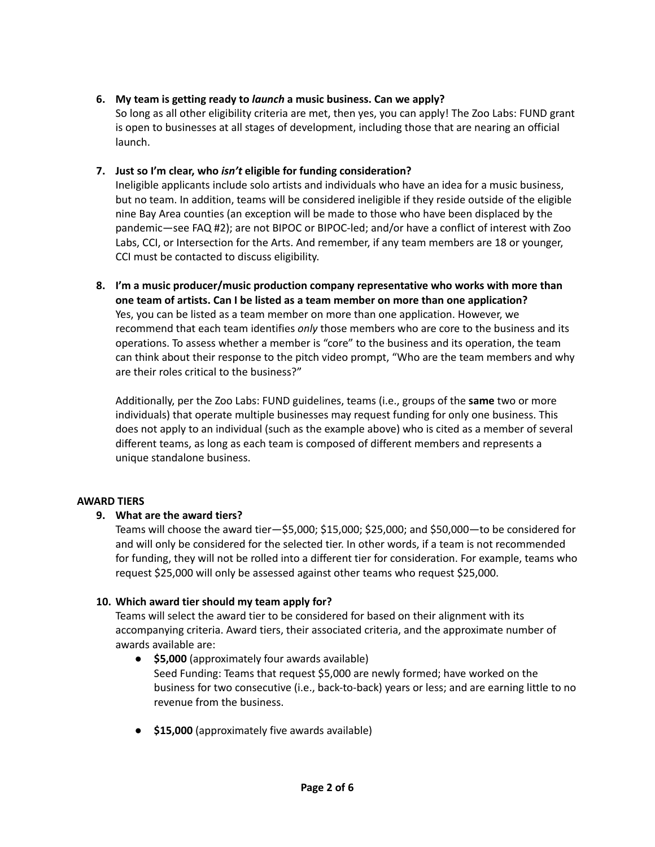## **6. My team is getting ready to** *launch* **a music business. Can we apply?**

So long as all other eligibility criteria are met, then yes, you can apply! The Zoo Labs: FUND grant is open to businesses at all stages of development, including those that are nearing an official launch.

## **7. Just so I'm clear, who** *isn't* **eligible for funding consideration?**

Ineligible applicants include solo artists and individuals who have an idea for a music business, but no team. In addition, teams will be considered ineligible if they reside outside of the eligible nine Bay Area counties (an exception will be made to those who have been displaced by the pandemic—see FAQ #2); are not BIPOC or BIPOC-led; and/or have a conflict of interest with Zoo Labs, CCI, or Intersection for the Arts. And remember, if any team members are 18 or younger, CCI must be contacted to discuss eligibility.

**8. I'm a music producer/music production company representative who works with more than one team of artists. Can I be listed as a team member on more than one application?** Yes, you can be listed as a team member on more than one application. However, we recommend that each team identifies *only* those members who are core to the business and its operations. To assess whether a member is "core" to the business and its operation, the team can think about their response to the pitch video prompt, "Who are the team members and why are their roles critical to the business?"

Additionally, per the Zoo Labs: FUND guidelines, teams (i.e., groups of the **same** two or more individuals) that operate multiple businesses may request funding for only one business. This does not apply to an individual (such as the example above) who is cited as a member of several different teams, as long as each team is composed of different members and represents a unique standalone business.

## **AWARD TIERS**

## **9. What are the award tiers?**

Teams will choose the award tier—\$5,000; \$15,000; \$25,000; and \$50,000—to be considered for and will only be considered for the selected tier. In other words, if a team is not recommended for funding, they will not be rolled into a different tier for consideration. For example, teams who request \$25,000 will only be assessed against other teams who request \$25,000.

## **10. Which award tier should my team apply for?**

Teams will select the award tier to be considered for based on their alignment with its accompanying criteria. Award tiers, their associated criteria, and the approximate number of awards available are:

- **\$5,000** (approximately four awards available) Seed Funding: Teams that request \$5,000 are newly formed; have worked on the business for two consecutive (i.e., back-to-back) years or less; and are earning little to no revenue from the business.
- **\$15,000** (approximately five awards available)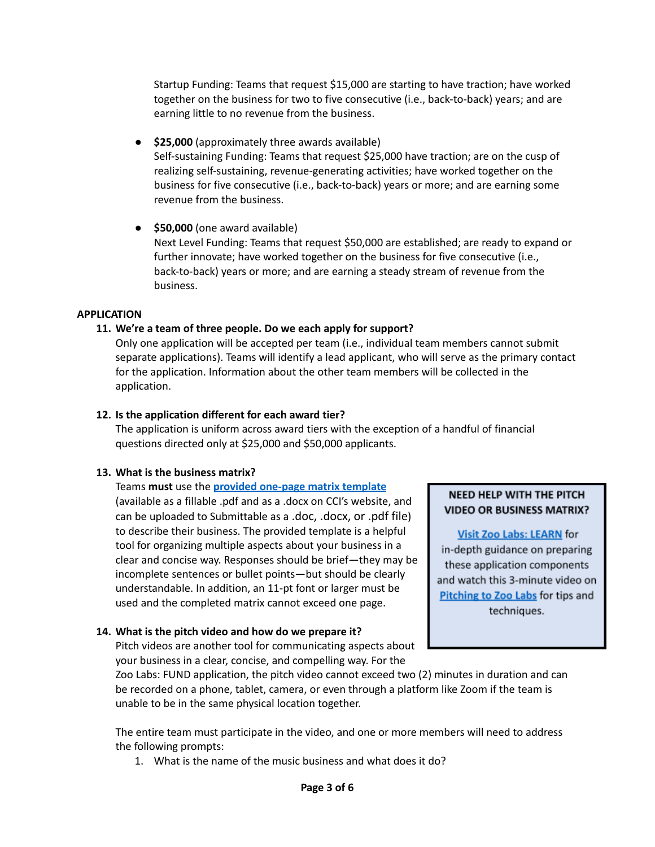Startup Funding: Teams that request \$15,000 are starting to have traction; have worked together on the business for two to five consecutive (i.e., back-to-back) years; and are earning little to no revenue from the business.

● **\$25,000** (approximately three awards available) Self-sustaining Funding: Teams that request \$25,000 have traction; are on the cusp of realizing self-sustaining, revenue-generating activities; have worked together on the business for five consecutive (i.e., back-to-back) years or more; and are earning some revenue from the business.

● **\$50,000** (one award available) Next Level Funding: Teams that request \$50,000 are established; are ready to expand or further innovate; have worked together on the business for five consecutive (i.e., back-to-back) years or more; and are earning a steady stream of revenue from the business.

#### **APPLICATION**

#### **11. We're a team of three people. Do we each apply for support?**

Only one application will be accepted per team (i.e., individual team members cannot submit separate applications). Teams will identify a lead applicant, who will serve as the primary contact for the application. Information about the other team members will be collected in the application.

#### **12. Is the application different for each award tier?**

The application is uniform across award tiers with the exception of a handful of financial questions directed only at \$25,000 and \$50,000 applicants.

## **13. What is the business matrix?**

Teams **must** use the **provided [one-page](https://www.cciarts.org/zoo_labs.html#:~:text=September%E2%80%93November%202022-,APPLY,-The%202022%20Application) matrix template** (available as a fillable .pdf and as a .docx on CCI's website, and can be uploaded to Submittable as a .doc, .docx, or .pdf file) to describe their business. The provided template is a helpful tool for organizing multiple aspects about your business in a clear and concise way. Responses should be brief—they may be incomplete sentences or bullet points—but should be clearly understandable. In addition, an 11-pt font or larger must be used and the completed matrix cannot exceed one page.

## **14. What is the pitch video and how do we prepare it?**

Pitch videos are another tool for communicating aspects about your business in a clear, concise, and compelling way. For the

## NEED HELP WITH THE PITCH **VIDEO OR BUSINESS MATRIX?**

**Visit Zoo Labs: LEARN for** in-depth guidance on preparing these application components and watch this 3-minute video on Pitching to Zoo Labs for tips and techniques.

Zoo Labs: FUND application, the pitch video cannot exceed two (2) minutes in duration and can be recorded on a phone, tablet, camera, or even through a platform like Zoom if the team is unable to be in the same physical location together.

The entire team must participate in the video, and one or more members will need to address the following prompts:

1. What is the name of the music business and what does it do?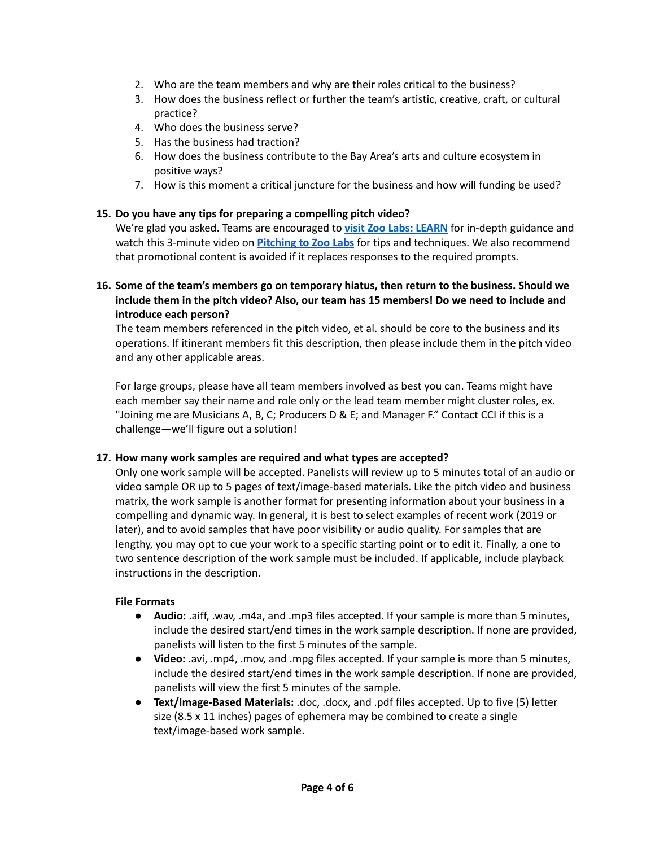- 2. Who are the team members and why are their roles critical to the business?
- 3. How does the business reflect or further the team's artistic, creative, craft, or cultural practice?
- 4. Who does the business serve?
- 5. Has the business had traction?
- 6. How does the business contribute to the Bay Area's arts and culture ecosystem in positive ways?
- 7. How is this moment a critical juncture for the business and how will funding be used?

## **15. Do you have any tips for preparing a compelling pitch video?**

We're glad you asked. Teams are encouraged to **visit Zoo Labs: [LEARN](https://learn.zoolabs.org/p/zoo-labs-fund-applicant-bundle)** for in-depth guidance and watch this 3-minute video on **[Pitching](https://www.youtube.com/watch?v=gIcwIcRauIU) to Zoo Labs** for tips and techniques. We also recommend that promotional content is avoided if it replaces responses to the required prompts.

## **16. Some of the team's members go on temporary hiatus, then return to the business. Should we include them in the pitch video? Also, our team has 15 members! Do we need to include and introduce each person?**

The team members referenced in the pitch video, et al. should be core to the business and its operations. If itinerant members fit this description, then please include them in the pitch video and any other applicable areas.

For large groups, please have all team members involved as best you can. Teams might have each member say their name and role only or the lead team member might cluster roles, ex. "Joining me are Musicians A, B, C; Producers D & E; and Manager F." Contact CCI if this is a challenge—we'll figure out a solution!

## **17. How many work samples are required and what types are accepted?**

Only one work sample will be accepted. Panelists will review up to 5 minutes total of an audio or video sample OR up to 5 pages of text/image-based materials. Like the pitch video and business matrix, the work sample is another format for presenting information about your business in a compelling and dynamic way. In general, it is best to select examples of recent work (2019 or later), and to avoid samples that have poor visibility or audio quality. For samples that are lengthy, you may opt to cue your work to a specific starting point or to edit it. Finally, a one to two sentence description of the work sample must be included. If applicable, include playback instructions in the description.

## **File Formats**

- **Audio:** .aiff, .wav, .m4a, and .mp3 files accepted. If your sample is more than 5 minutes, include the desired start/end times in the work sample description. If none are provided, panelists will listen to the first 5 minutes of the sample.
- **Video:** .avi, .mp4, .mov, and .mpg files accepted. If your sample is more than 5 minutes, include the desired start/end times in the work sample description. If none are provided, panelists will view the first 5 minutes of the sample.
- **Text/Image-Based Materials:** .doc, .docx, and .pdf files accepted. Up to five (5) letter size (8.5 x 11 inches) pages of ephemera may be combined to create a single text/image-based work sample.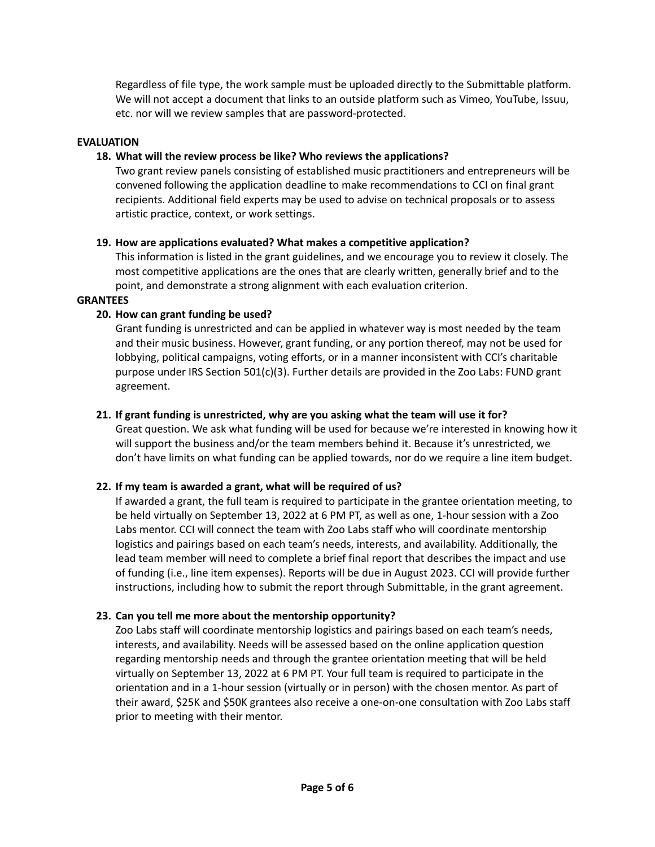Regardless of file type, the work sample must be uploaded directly to the Submittable platform. We will not accept a document that links to an outside platform such as Vimeo, YouTube, Issuu, etc. nor will we review samples that are password-protected.

#### **EVALUATION**

#### **18. What will the review process be like? Who reviews the applications?**

Two grant review panels consisting of established music practitioners and entrepreneurs will be convened following the application deadline to make recommendations to CCI on final grant recipients. Additional field experts may be used to advise on technical proposals or to assess artistic practice, context, or work settings.

#### **19. How are applications evaluated? What makes a competitive application?**

This information is listed in the grant guidelines, and we encourage you to review it closely. The most competitive applications are the ones that are clearly written, generally brief and to the point, and demonstrate a strong alignment with each evaluation criterion.

#### **GRANTEES**

## **20. How can grant funding be used?**

Grant funding is unrestricted and can be applied in whatever way is most needed by the team and their music business. However, grant funding, or any portion thereof, may not be used for lobbying, political campaigns, voting efforts, or in a manner inconsistent with CCI's charitable purpose under IRS Section 501(c)(3). Further details are provided in the Zoo Labs: FUND grant agreement.

#### **21. If grant funding is unrestricted, why are you asking what the team will use it for?**

Great question. We ask what funding will be used for because we're interested in knowing how it will support the business and/or the team members behind it. Because it's unrestricted, we don't have limits on what funding can be applied towards, nor do we require a line item budget.

## **22. If my team is awarded a grant, what will be required of us?**

If awarded a grant, the full team is required to participate in the grantee orientation meeting, to be held virtually on September 13, 2022 at 6 PM PT, as well as one, 1-hour session with a Zoo Labs mentor. CCI will connect the team with Zoo Labs staff who will coordinate mentorship logistics and pairings based on each team's needs, interests, and availability. Additionally, the lead team member will need to complete a brief final report that describes the impact and use of funding (i.e., line item expenses). Reports will be due in August 2023. CCI will provide further instructions, including how to submit the report through Submittable, in the grant agreement.

## **23. Can you tell me more about the mentorship opportunity?**

Zoo Labs staff will coordinate mentorship logistics and pairings based on each team's needs, interests, and availability. Needs will be assessed based on the online application question regarding mentorship needs and through the grantee orientation meeting that will be held virtually on September 13, 2022 at 6 PM PT. Your full team is required to participate in the orientation and in a 1-hour session (virtually or in person) with the chosen mentor. As part of their award, \$25K and \$50K grantees also receive a one-on-one consultation with Zoo Labs staff prior to meeting with their mentor.